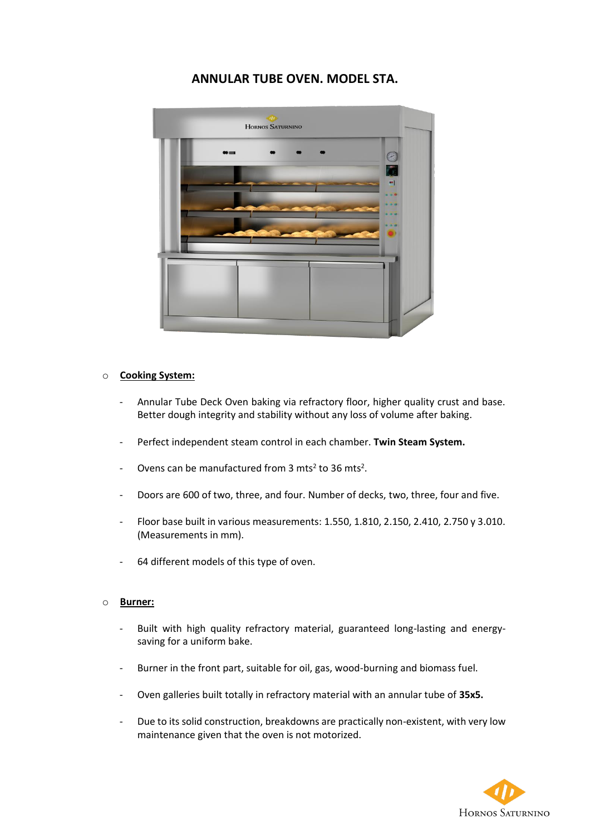## **ANNULAR TUBE OVEN. MODEL STA.**



## o **Cooking System:**

- Annular Tube Deck Oven baking via refractory floor, higher quality crust and base. Better dough integrity and stability without any loss of volume after baking.
- Perfect independent steam control in each chamber. **Twin Steam System.**
- Ovens can be manufactured from  $3 \text{ mts}^2$  to  $36 \text{ mts}^2$ .
- Doors are 600 of two, three, and four. Number of decks, two, three, four and five.
- Floor base built in various measurements: 1.550, 1.810, 2.150, 2.410, 2.750 y 3.010. (Measurements in mm).
- 64 different models of this type of oven.

## o **Burner:**

- Built with high quality refractory material, guaranteed long-lasting and energysaving for a uniform bake.
- Burner in the front part, suitable for oil, gas, wood-burning and biomass fuel.
- Oven galleries built totally in refractory material with an annular tube of **35x5.**
- Due to its solid construction, breakdowns are practically non-existent, with very low maintenance given that the oven is not motorized.